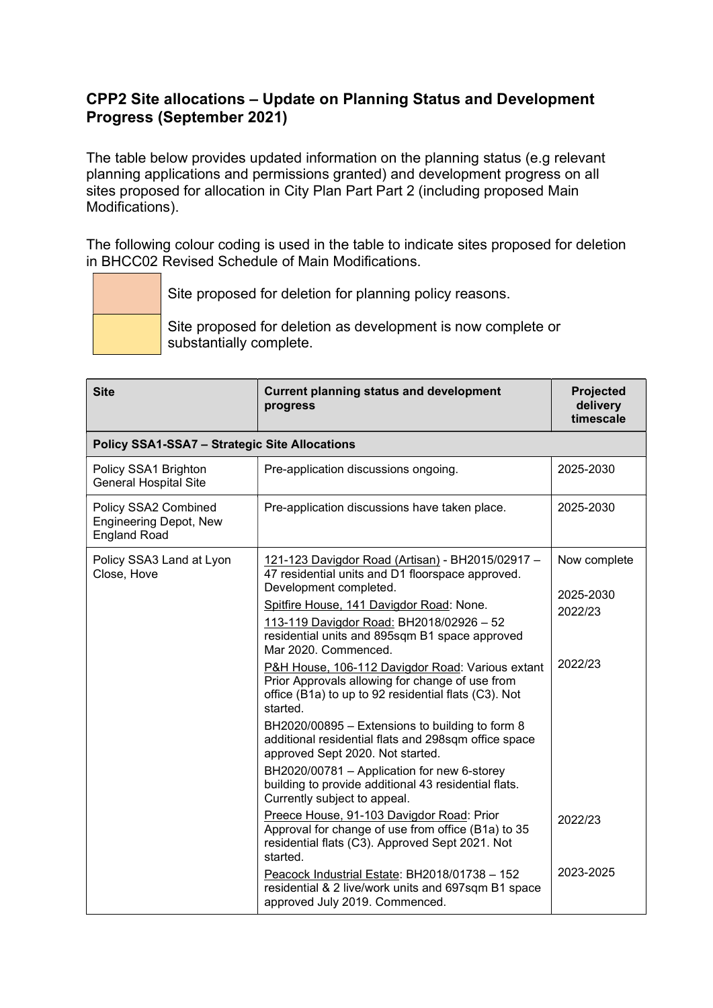## CPP2 Site allocations – Update on Planning Status and Development Progress (September 2021)

The table below provides updated information on the planning status (e.g relevant planning applications and permissions granted) and development progress on all sites proposed for allocation in City Plan Part Part 2 (including proposed Main Modifications).

The following colour coding is used in the table to indicate sites proposed for deletion in BHCC02 Revised Schedule of Main Modifications.

|  | Site proposed for deletion for planning policy reasons.                                 |
|--|-----------------------------------------------------------------------------------------|
|  | Site proposed for deletion as development is now complete or<br>substantially complete. |

| <b>Site</b>                                                                  | <b>Current planning status and development</b><br>progress                                                                                                                                                                                                                                                                                                                                                                                                                                                                                                                                                                                                                                                                                                                                                                                                                                                                                                                                                                                                                    | Projected<br>delivery<br>timescale                                      |
|------------------------------------------------------------------------------|-------------------------------------------------------------------------------------------------------------------------------------------------------------------------------------------------------------------------------------------------------------------------------------------------------------------------------------------------------------------------------------------------------------------------------------------------------------------------------------------------------------------------------------------------------------------------------------------------------------------------------------------------------------------------------------------------------------------------------------------------------------------------------------------------------------------------------------------------------------------------------------------------------------------------------------------------------------------------------------------------------------------------------------------------------------------------------|-------------------------------------------------------------------------|
| <b>Policy SSA1-SSA7 - Strategic Site Allocations</b>                         |                                                                                                                                                                                                                                                                                                                                                                                                                                                                                                                                                                                                                                                                                                                                                                                                                                                                                                                                                                                                                                                                               |                                                                         |
| Policy SSA1 Brighton<br><b>General Hospital Site</b>                         | Pre-application discussions ongoing.                                                                                                                                                                                                                                                                                                                                                                                                                                                                                                                                                                                                                                                                                                                                                                                                                                                                                                                                                                                                                                          | 2025-2030                                                               |
| Policy SSA2 Combined<br><b>Engineering Depot, New</b><br><b>England Road</b> | Pre-application discussions have taken place.                                                                                                                                                                                                                                                                                                                                                                                                                                                                                                                                                                                                                                                                                                                                                                                                                                                                                                                                                                                                                                 | 2025-2030                                                               |
| Policy SSA3 Land at Lyon<br>Close, Hove                                      | 121-123 Davigdor Road (Artisan) - BH2015/02917 -<br>47 residential units and D1 floorspace approved.<br>Development completed.<br>Spitfire House, 141 Davigdor Road: None.<br>113-119 Davigdor Road: BH2018/02926 - 52<br>residential units and 895sqm B1 space approved<br>Mar 2020. Commenced.<br>P&H House, 106-112 Davigdor Road: Various extant<br>Prior Approvals allowing for change of use from<br>office (B1a) to up to 92 residential flats (C3). Not<br>started.<br>BH2020/00895 - Extensions to building to form 8<br>additional residential flats and 298sqm office space<br>approved Sept 2020. Not started.<br>BH2020/00781 - Application for new 6-storey<br>building to provide additional 43 residential flats.<br>Currently subject to appeal.<br>Preece House, 91-103 Davigdor Road: Prior<br>Approval for change of use from office (B1a) to 35<br>residential flats (C3). Approved Sept 2021. Not<br>started.<br>Peacock Industrial Estate: BH2018/01738 - 152<br>residential & 2 live/work units and 697sqm B1 space<br>approved July 2019. Commenced. | Now complete<br>2025-2030<br>2022/23<br>2022/23<br>2022/23<br>2023-2025 |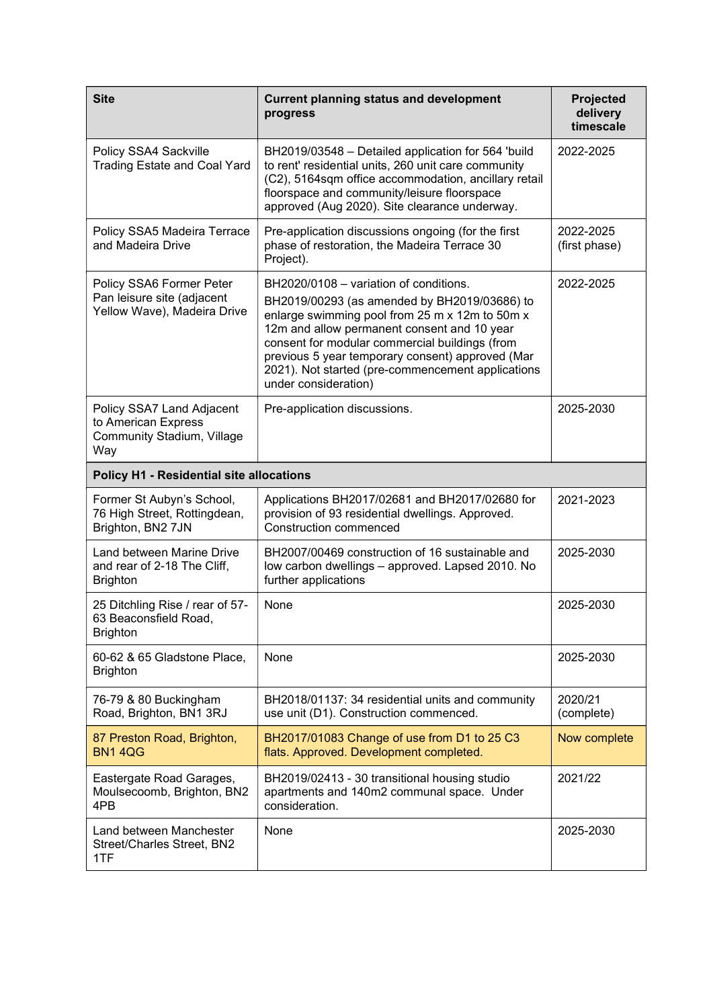| <b>Site</b>                                                                                  | <b>Current planning status and development</b><br>progress                                                                                                                                                                                                                                                                                                                 | <b>Projected</b><br>delivery<br>timescale |
|----------------------------------------------------------------------------------------------|----------------------------------------------------------------------------------------------------------------------------------------------------------------------------------------------------------------------------------------------------------------------------------------------------------------------------------------------------------------------------|-------------------------------------------|
| Policy SSA4 Sackville<br><b>Trading Estate and Coal Yard</b>                                 | BH2019/03548 - Detailed application for 564 'build<br>to rent' residential units, 260 unit care community<br>(C2), 5164sqm office accommodation, ancillary retail<br>floorspace and community/leisure floorspace<br>approved (Aug 2020). Site clearance underway.                                                                                                          | 2022-2025                                 |
| Policy SSA5 Madeira Terrace<br>and Madeira Drive                                             | Pre-application discussions ongoing (for the first<br>phase of restoration, the Madeira Terrace 30<br>Project).                                                                                                                                                                                                                                                            | 2022-2025<br>(first phase)                |
| Policy SSA6 Former Peter<br>Pan leisure site (adjacent<br>Yellow Wave), Madeira Drive        | BH2020/0108 - variation of conditions.<br>BH2019/00293 (as amended by BH2019/03686) to<br>enlarge swimming pool from 25 m x 12m to 50m x<br>12m and allow permanent consent and 10 year<br>consent for modular commercial buildings (from<br>previous 5 year temporary consent) approved (Mar<br>2021). Not started (pre-commencement applications<br>under consideration) | 2022-2025                                 |
| Policy SSA7 Land Adjacent<br>to American Express<br><b>Community Stadium, Village</b><br>Way | Pre-application discussions.                                                                                                                                                                                                                                                                                                                                               | 2025-2030                                 |
| <b>Policy H1 - Residential site allocations</b>                                              |                                                                                                                                                                                                                                                                                                                                                                            |                                           |
| Former St Aubyn's School,<br>76 High Street, Rottingdean,<br>Brighton, BN2 7JN               | Applications BH2017/02681 and BH2017/02680 for<br>provision of 93 residential dwellings. Approved.<br><b>Construction commenced</b>                                                                                                                                                                                                                                        | 2021-2023                                 |
| Land between Marine Drive<br>and rear of 2-18 The Cliff,<br><b>Brighton</b>                  | BH2007/00469 construction of 16 sustainable and<br>low carbon dwellings - approved. Lapsed 2010. No<br>further applications                                                                                                                                                                                                                                                | 2025-2030                                 |
| 25 Ditchling Rise / rear of 57-<br>63 Beaconsfield Road,<br><b>Brighton</b>                  | None                                                                                                                                                                                                                                                                                                                                                                       | 2025-2030                                 |
| 60-62 & 65 Gladstone Place,<br><b>Brighton</b>                                               | None                                                                                                                                                                                                                                                                                                                                                                       | 2025-2030                                 |
| 76-79 & 80 Buckingham<br>Road, Brighton, BN1 3RJ                                             | BH2018/01137: 34 residential units and community<br>use unit (D1). Construction commenced.                                                                                                                                                                                                                                                                                 | 2020/21<br>(complete)                     |
| 87 Preston Road, Brighton,<br><b>BN14QG</b>                                                  | BH2017/01083 Change of use from D1 to 25 C3<br>flats. Approved. Development completed.                                                                                                                                                                                                                                                                                     | Now complete                              |
| Eastergate Road Garages,<br>Moulsecoomb, Brighton, BN2<br>4PB                                | BH2019/02413 - 30 transitional housing studio<br>apartments and 140m2 communal space. Under<br>consideration.                                                                                                                                                                                                                                                              | 2021/22                                   |
| Land between Manchester<br>Street/Charles Street, BN2<br>1TF                                 | None                                                                                                                                                                                                                                                                                                                                                                       | 2025-2030                                 |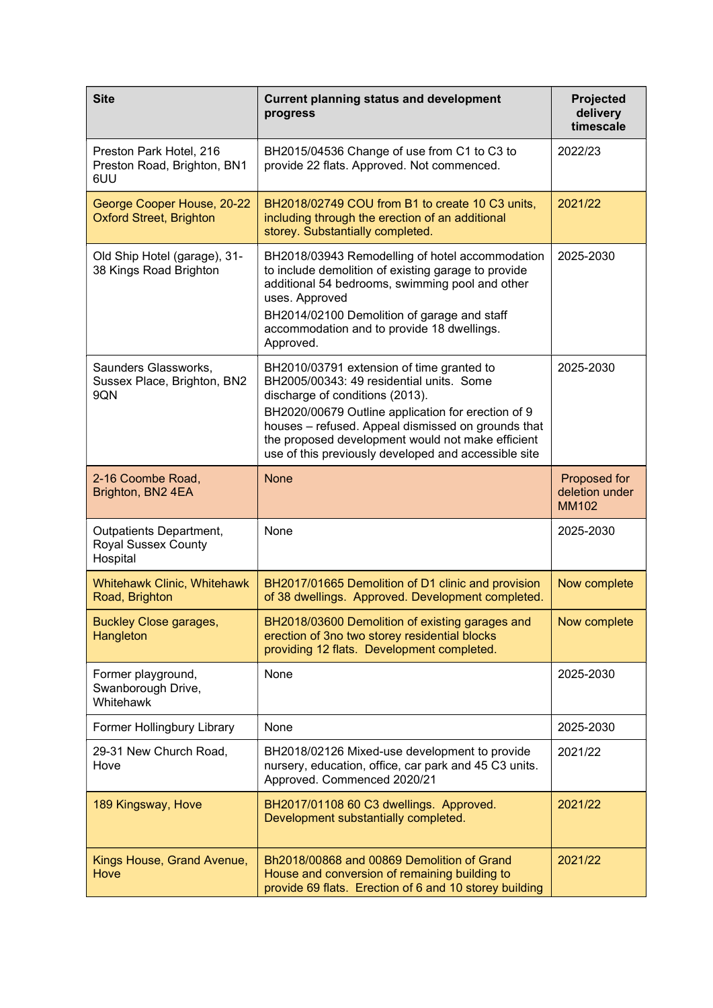| <b>Site</b>                                                       | <b>Current planning status and development</b><br>progress                                                                                                                                                                                                                                                                                        | Projected<br>delivery<br>timescale             |
|-------------------------------------------------------------------|---------------------------------------------------------------------------------------------------------------------------------------------------------------------------------------------------------------------------------------------------------------------------------------------------------------------------------------------------|------------------------------------------------|
| Preston Park Hotel, 216<br>Preston Road, Brighton, BN1<br>6UU     | BH2015/04536 Change of use from C1 to C3 to<br>provide 22 flats. Approved. Not commenced.                                                                                                                                                                                                                                                         | 2022/23                                        |
| George Cooper House, 20-22<br><b>Oxford Street, Brighton</b>      | BH2018/02749 COU from B1 to create 10 C3 units,<br>including through the erection of an additional<br>storey. Substantially completed.                                                                                                                                                                                                            | 2021/22                                        |
| Old Ship Hotel (garage), 31-<br>38 Kings Road Brighton            | BH2018/03943 Remodelling of hotel accommodation<br>to include demolition of existing garage to provide<br>additional 54 bedrooms, swimming pool and other<br>uses. Approved<br>BH2014/02100 Demolition of garage and staff<br>accommodation and to provide 18 dwellings.<br>Approved.                                                             | 2025-2030                                      |
| Saunders Glassworks,<br>Sussex Place, Brighton, BN2<br>9QN        | BH2010/03791 extension of time granted to<br>BH2005/00343: 49 residential units. Some<br>discharge of conditions (2013).<br>BH2020/00679 Outline application for erection of 9<br>houses - refused. Appeal dismissed on grounds that<br>the proposed development would not make efficient<br>use of this previously developed and accessible site | 2025-2030                                      |
| 2-16 Coombe Road,<br>Brighton, BN2 4EA                            | <b>None</b>                                                                                                                                                                                                                                                                                                                                       | Proposed for<br>deletion under<br><b>MM102</b> |
| Outpatients Department,<br><b>Royal Sussex County</b><br>Hospital | None                                                                                                                                                                                                                                                                                                                                              | 2025-2030                                      |
| Whitehawk Clinic, Whitehawk<br>Road, Brighton                     | BH2017/01665 Demolition of D1 clinic and provision<br>of 38 dwellings. Approved. Development completed.                                                                                                                                                                                                                                           | Now complete                                   |
| <b>Buckley Close garages,</b><br>Hangleton                        | BH2018/03600 Demolition of existing garages and<br>erection of 3no two storey residential blocks<br>providing 12 flats. Development completed.                                                                                                                                                                                                    | Now complete                                   |
| Former playground,<br>Swanborough Drive,<br>Whitehawk             | None                                                                                                                                                                                                                                                                                                                                              | 2025-2030                                      |
| Former Hollingbury Library                                        | None                                                                                                                                                                                                                                                                                                                                              | 2025-2030                                      |
| 29-31 New Church Road,<br>Hove                                    | BH2018/02126 Mixed-use development to provide<br>nursery, education, office, car park and 45 C3 units.<br>Approved. Commenced 2020/21                                                                                                                                                                                                             | 2021/22                                        |
| 189 Kingsway, Hove                                                | BH2017/01108 60 C3 dwellings. Approved.<br>Development substantially completed.                                                                                                                                                                                                                                                                   | 2021/22                                        |
| Kings House, Grand Avenue,<br>Hove                                | Bh2018/00868 and 00869 Demolition of Grand<br>House and conversion of remaining building to<br>provide 69 flats. Erection of 6 and 10 storey building                                                                                                                                                                                             | 2021/22                                        |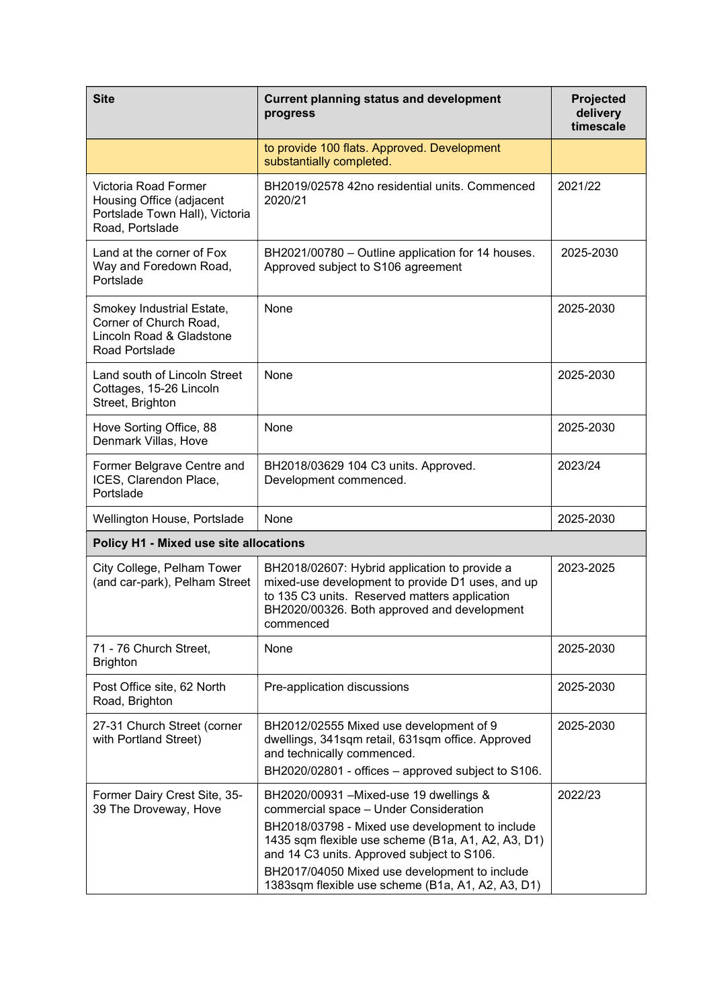| <b>Site</b>                                                                                           | <b>Current planning status and development</b><br>progress                                                                                                                                                                                                                                                                                     | <b>Projected</b><br>delivery<br>timescale |
|-------------------------------------------------------------------------------------------------------|------------------------------------------------------------------------------------------------------------------------------------------------------------------------------------------------------------------------------------------------------------------------------------------------------------------------------------------------|-------------------------------------------|
|                                                                                                       | to provide 100 flats. Approved. Development<br>substantially completed.                                                                                                                                                                                                                                                                        |                                           |
| Victoria Road Former<br>Housing Office (adjacent<br>Portslade Town Hall), Victoria<br>Road, Portslade | BH2019/02578 42no residential units. Commenced<br>2020/21                                                                                                                                                                                                                                                                                      | 2021/22                                   |
| Land at the corner of Fox<br>Way and Foredown Road,<br>Portslade                                      | BH2021/00780 - Outline application for 14 houses.<br>Approved subject to S106 agreement                                                                                                                                                                                                                                                        | 2025-2030                                 |
| Smokey Industrial Estate,<br>Corner of Church Road,<br>Lincoln Road & Gladstone<br>Road Portslade     | None                                                                                                                                                                                                                                                                                                                                           | 2025-2030                                 |
| Land south of Lincoln Street<br>Cottages, 15-26 Lincoln<br>Street, Brighton                           | None                                                                                                                                                                                                                                                                                                                                           | 2025-2030                                 |
| Hove Sorting Office, 88<br>Denmark Villas, Hove                                                       | None                                                                                                                                                                                                                                                                                                                                           | 2025-2030                                 |
| Former Belgrave Centre and<br>ICES, Clarendon Place,<br>Portslade                                     | BH2018/03629 104 C3 units. Approved.<br>Development commenced.                                                                                                                                                                                                                                                                                 | 2023/24                                   |
| Wellington House, Portslade                                                                           | None                                                                                                                                                                                                                                                                                                                                           | 2025-2030                                 |
| <b>Policy H1 - Mixed use site allocations</b>                                                         |                                                                                                                                                                                                                                                                                                                                                |                                           |
| City College, Pelham Tower<br>(and car-park), Pelham Street                                           | BH2018/02607: Hybrid application to provide a<br>mixed-use development to provide D1 uses, and up<br>to 135 C3 units. Reserved matters application<br>BH2020/00326. Both approved and development<br>commenced                                                                                                                                 | 2023-2025                                 |
| 71 - 76 Church Street,<br><b>Brighton</b>                                                             | None                                                                                                                                                                                                                                                                                                                                           | 2025-2030                                 |
| Post Office site, 62 North<br>Road, Brighton                                                          | Pre-application discussions                                                                                                                                                                                                                                                                                                                    | 2025-2030                                 |
| 27-31 Church Street (corner<br>with Portland Street)                                                  | BH2012/02555 Mixed use development of 9<br>dwellings, 341sqm retail, 631sqm office. Approved<br>and technically commenced.<br>BH2020/02801 - offices - approved subject to S106.                                                                                                                                                               | 2025-2030                                 |
| Former Dairy Crest Site, 35-<br>39 The Droveway, Hove                                                 | BH2020/00931 - Mixed-use 19 dwellings &<br>commercial space - Under Consideration<br>BH2018/03798 - Mixed use development to include<br>1435 sqm flexible use scheme (B1a, A1, A2, A3, D1)<br>and 14 C3 units. Approved subject to S106.<br>BH2017/04050 Mixed use development to include<br>1383sqm flexible use scheme (B1a, A1, A2, A3, D1) | 2022/23                                   |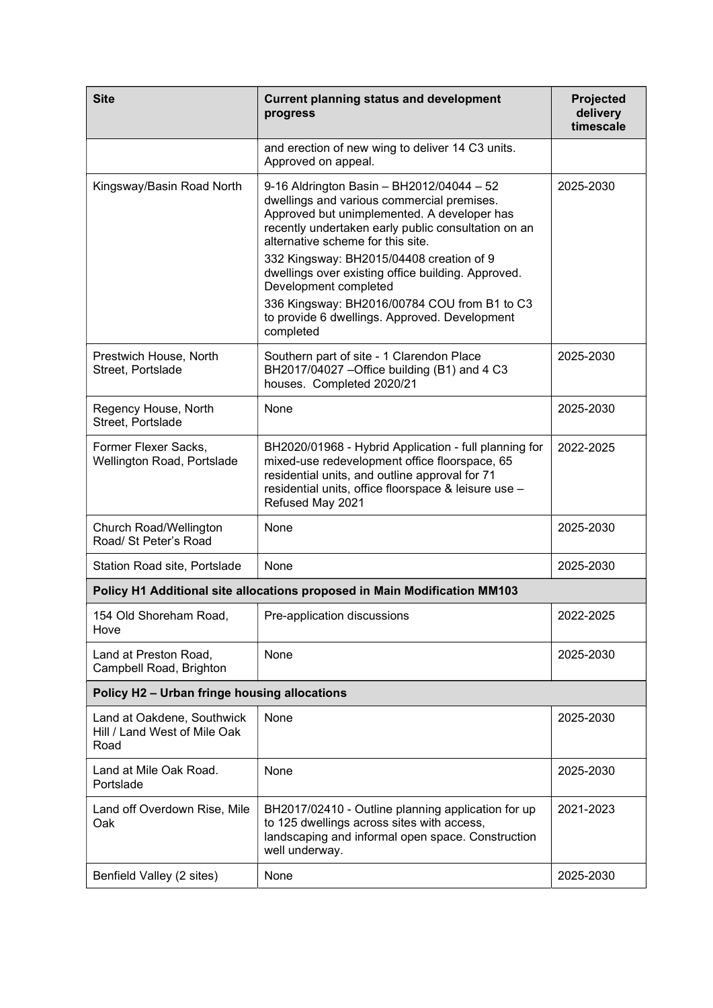| <b>Site</b>                                                        | <b>Current planning status and development</b><br>progress                                                                                                                                                                                                                                                                                                                                                                                                                  | Projected<br>delivery<br>timescale |
|--------------------------------------------------------------------|-----------------------------------------------------------------------------------------------------------------------------------------------------------------------------------------------------------------------------------------------------------------------------------------------------------------------------------------------------------------------------------------------------------------------------------------------------------------------------|------------------------------------|
|                                                                    | and erection of new wing to deliver 14 C3 units.<br>Approved on appeal.                                                                                                                                                                                                                                                                                                                                                                                                     |                                    |
| Kingsway/Basin Road North                                          | 9-16 Aldrington Basin - BH2012/04044 - 52<br>dwellings and various commercial premises.<br>Approved but unimplemented. A developer has<br>recently undertaken early public consultation on an<br>alternative scheme for this site.<br>332 Kingsway: BH2015/04408 creation of 9<br>dwellings over existing office building. Approved.<br>Development completed<br>336 Kingsway: BH2016/00784 COU from B1 to C3<br>to provide 6 dwellings. Approved. Development<br>completed | 2025-2030                          |
| Prestwich House, North<br>Street, Portslade                        | Southern part of site - 1 Clarendon Place<br>BH2017/04027 - Office building (B1) and 4 C3<br>houses. Completed 2020/21                                                                                                                                                                                                                                                                                                                                                      | 2025-2030                          |
| Regency House, North<br>Street, Portslade                          | None                                                                                                                                                                                                                                                                                                                                                                                                                                                                        | 2025-2030                          |
| Former Flexer Sacks,<br>Wellington Road, Portslade                 | BH2020/01968 - Hybrid Application - full planning for<br>mixed-use redevelopment office floorspace, 65<br>residential units, and outline approval for 71<br>residential units, office floorspace & leisure use -<br>Refused May 2021                                                                                                                                                                                                                                        | 2022-2025                          |
| Church Road/Wellington<br>Road/ St Peter's Road                    | None                                                                                                                                                                                                                                                                                                                                                                                                                                                                        | 2025-2030                          |
| Station Road site, Portslade                                       | None                                                                                                                                                                                                                                                                                                                                                                                                                                                                        | 2025-2030                          |
|                                                                    | Policy H1 Additional site allocations proposed in Main Modification MM103                                                                                                                                                                                                                                                                                                                                                                                                   |                                    |
| 154 Old Shoreham Road,<br>Hove                                     | Pre-application discussions                                                                                                                                                                                                                                                                                                                                                                                                                                                 | 2022-2025                          |
| Land at Preston Road,<br>Campbell Road, Brighton                   | None                                                                                                                                                                                                                                                                                                                                                                                                                                                                        | 2025-2030                          |
| Policy H2 - Urban fringe housing allocations                       |                                                                                                                                                                                                                                                                                                                                                                                                                                                                             |                                    |
| Land at Oakdene, Southwick<br>Hill / Land West of Mile Oak<br>Road | None                                                                                                                                                                                                                                                                                                                                                                                                                                                                        | 2025-2030                          |
| Land at Mile Oak Road.<br>Portslade                                | None                                                                                                                                                                                                                                                                                                                                                                                                                                                                        | 2025-2030                          |
| Land off Overdown Rise, Mile<br>Oak                                | BH2017/02410 - Outline planning application for up<br>to 125 dwellings across sites with access,<br>landscaping and informal open space. Construction<br>well underway.                                                                                                                                                                                                                                                                                                     | 2021-2023                          |
| Benfield Valley (2 sites)                                          | None                                                                                                                                                                                                                                                                                                                                                                                                                                                                        | 2025-2030                          |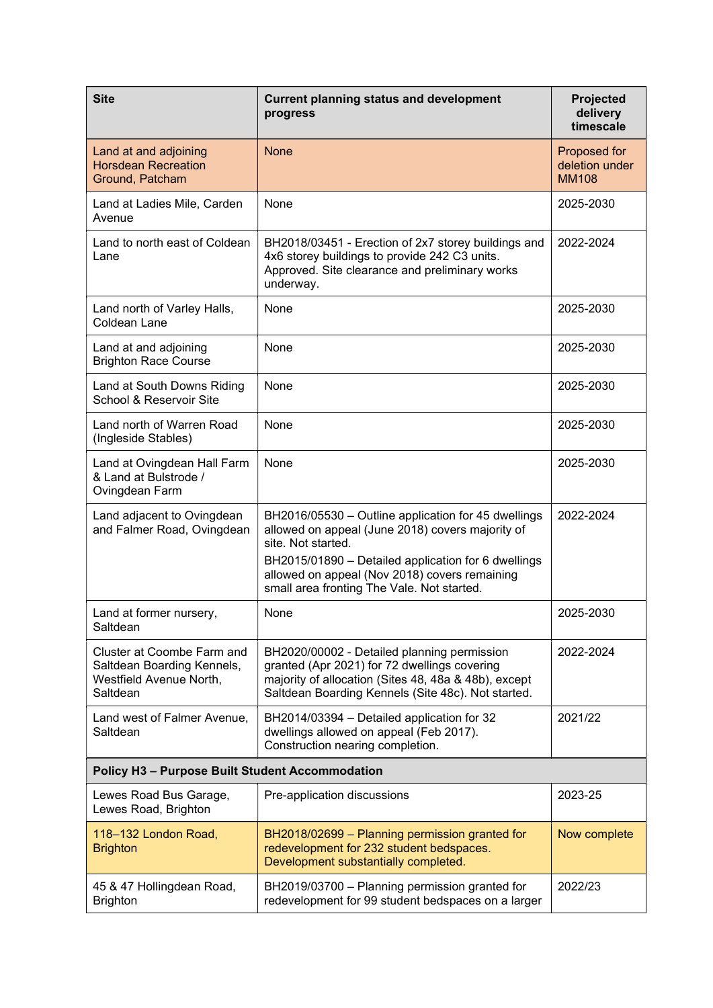| <b>Site</b>                                                                                     | <b>Current planning status and development</b><br>progress                                                                                                                                                                                                                          | Projected<br>delivery<br>timescale             |
|-------------------------------------------------------------------------------------------------|-------------------------------------------------------------------------------------------------------------------------------------------------------------------------------------------------------------------------------------------------------------------------------------|------------------------------------------------|
| Land at and adjoining<br><b>Horsdean Recreation</b><br>Ground, Patcham                          | <b>None</b>                                                                                                                                                                                                                                                                         | Proposed for<br>deletion under<br><b>MM108</b> |
| Land at Ladies Mile, Carden<br>Avenue                                                           | None                                                                                                                                                                                                                                                                                | 2025-2030                                      |
| Land to north east of Coldean<br>Lane                                                           | BH2018/03451 - Erection of 2x7 storey buildings and<br>4x6 storey buildings to provide 242 C3 units.<br>Approved. Site clearance and preliminary works<br>underway.                                                                                                                 | 2022-2024                                      |
| Land north of Varley Halls,<br>Coldean Lane                                                     | None                                                                                                                                                                                                                                                                                | 2025-2030                                      |
| Land at and adjoining<br><b>Brighton Race Course</b>                                            | None                                                                                                                                                                                                                                                                                | 2025-2030                                      |
| Land at South Downs Riding<br>School & Reservoir Site                                           | None                                                                                                                                                                                                                                                                                | 2025-2030                                      |
| Land north of Warren Road<br>(Ingleside Stables)                                                | None                                                                                                                                                                                                                                                                                | 2025-2030                                      |
| Land at Ovingdean Hall Farm<br>& Land at Bulstrode /<br>Ovingdean Farm                          | None                                                                                                                                                                                                                                                                                | 2025-2030                                      |
| Land adjacent to Ovingdean<br>and Falmer Road, Ovingdean                                        | BH2016/05530 - Outline application for 45 dwellings<br>allowed on appeal (June 2018) covers majority of<br>site. Not started.<br>BH2015/01890 - Detailed application for 6 dwellings<br>allowed on appeal (Nov 2018) covers remaining<br>small area fronting The Vale. Not started. | 2022-2024                                      |
| Land at former nursery,<br>Saltdean                                                             | None                                                                                                                                                                                                                                                                                | 2025-2030                                      |
| Cluster at Coombe Farm and<br>Saltdean Boarding Kennels,<br>Westfield Avenue North,<br>Saltdean | BH2020/00002 - Detailed planning permission<br>granted (Apr 2021) for 72 dwellings covering<br>majority of allocation (Sites 48, 48a & 48b), except<br>Saltdean Boarding Kennels (Site 48c). Not started.                                                                           | 2022-2024                                      |
| Land west of Falmer Avenue,<br>Saltdean                                                         | BH2014/03394 - Detailed application for 32<br>dwellings allowed on appeal (Feb 2017).<br>Construction nearing completion.                                                                                                                                                           | 2021/22                                        |
| <b>Policy H3 - Purpose Built Student Accommodation</b>                                          |                                                                                                                                                                                                                                                                                     |                                                |
| Lewes Road Bus Garage,<br>Lewes Road, Brighton                                                  | Pre-application discussions                                                                                                                                                                                                                                                         | 2023-25                                        |
| 118-132 London Road,<br><b>Brighton</b>                                                         | BH2018/02699 - Planning permission granted for<br>redevelopment for 232 student bedspaces.<br>Development substantially completed.                                                                                                                                                  | Now complete                                   |
| 45 & 47 Hollingdean Road,<br><b>Brighton</b>                                                    | BH2019/03700 - Planning permission granted for<br>redevelopment for 99 student bedspaces on a larger                                                                                                                                                                                | 2022/23                                        |